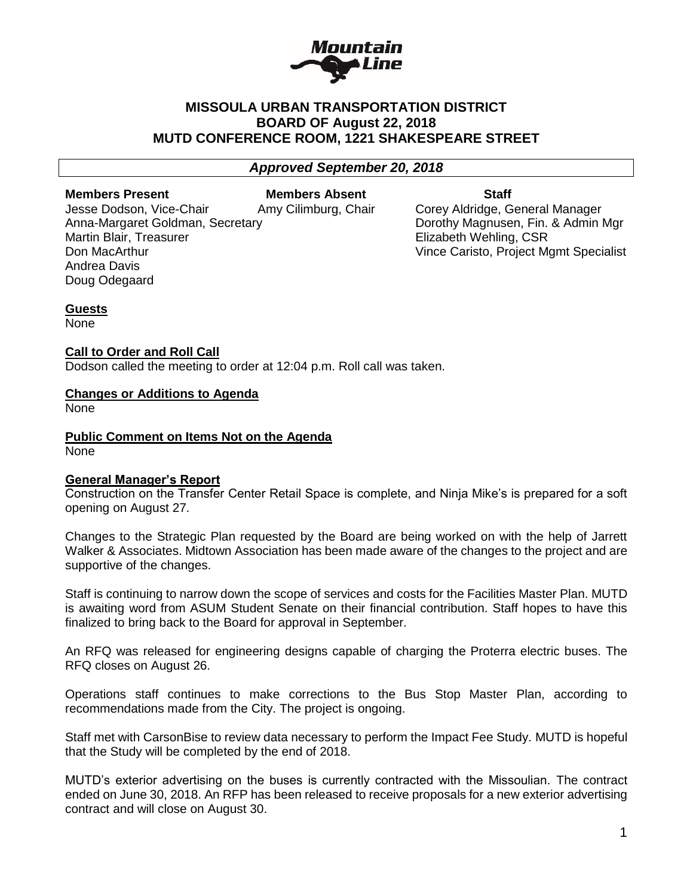

# **MISSOULA URBAN TRANSPORTATION DISTRICT BOARD OF August 22, 2018 MUTD CONFERENCE ROOM, 1221 SHAKESPEARE STREET**

*Approved September 20, 2018*

**Members Present Members Absent Staff** 

Jesse Dodson, Vice-Chair Amy Cilimburg, Chair Corey Aldridge, General Manager Martin Blair, Treasurer **Elizabeth Wehling, CSR** Andrea Davis Doug Odegaard

Anna-Margaret Goldman, Secretary **Dorothy Magnusen, Fin. & Admin Mgr** Don MacArthur Vince Caristo, Project Mgmt Specialist

**Guests** None

## **Call to Order and Roll Call**

Dodson called the meeting to order at 12:04 p.m. Roll call was taken.

## **Changes or Additions to Agenda**

None

**Public Comment on Items Not on the Agenda** None

## **General Manager's Report**

Construction on the Transfer Center Retail Space is complete, and Ninja Mike's is prepared for a soft opening on August 27.

Changes to the Strategic Plan requested by the Board are being worked on with the help of Jarrett Walker & Associates. Midtown Association has been made aware of the changes to the project and are supportive of the changes.

Staff is continuing to narrow down the scope of services and costs for the Facilities Master Plan. MUTD is awaiting word from ASUM Student Senate on their financial contribution. Staff hopes to have this finalized to bring back to the Board for approval in September.

An RFQ was released for engineering designs capable of charging the Proterra electric buses. The RFQ closes on August 26.

Operations staff continues to make corrections to the Bus Stop Master Plan, according to recommendations made from the City. The project is ongoing.

Staff met with CarsonBise to review data necessary to perform the Impact Fee Study. MUTD is hopeful that the Study will be completed by the end of 2018.

MUTD's exterior advertising on the buses is currently contracted with the Missoulian. The contract ended on June 30, 2018. An RFP has been released to receive proposals for a new exterior advertising contract and will close on August 30.